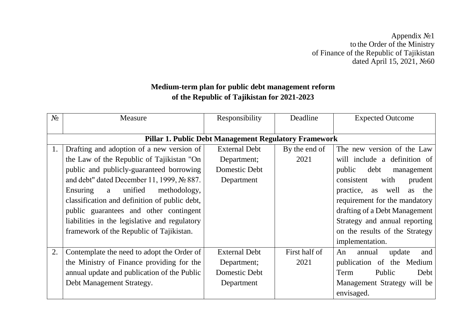Appendix №1 to the Order of the Ministry of Finance of the Republic of Tajikistan dated April 15, 2021, №60

## **Medium-term plan for public debt management reform of the Republic of Tajikistan for 2021-2023**

| $N_2$ | Measure                                               | Responsibility                                        | Deadline      | <b>Expected Outcome</b>        |
|-------|-------------------------------------------------------|-------------------------------------------------------|---------------|--------------------------------|
|       |                                                       |                                                       |               |                                |
|       |                                                       | Pillar 1. Public Debt Management Regulatory Framework |               |                                |
| 1.    | Drafting and adoption of a new version of             | <b>External Debt</b>                                  | By the end of | The new version of the Law     |
|       | the Law of the Republic of Tajikistan "On             | Department;                                           | 2021          | will include a definition of   |
|       | public and publicly-guaranteed borrowing              | Domestic Debt                                         |               | public<br>debt<br>management   |
|       | and debt" dated December 11, 1999, $\mathcal{N}$ 887. | Department                                            |               | consistent<br>with<br>prudent  |
|       | unified<br>Ensuring<br>a<br>methodology,              |                                                       |               | practice, as well<br>as the    |
|       | classification and definition of public debt,         |                                                       |               | requirement for the mandatory  |
|       | public guarantees and other contingent                |                                                       |               | drafting of a Debt Management  |
|       | liabilities in the legislative and regulatory         |                                                       |               | Strategy and annual reporting  |
|       | framework of the Republic of Tajikistan.              |                                                       |               | on the results of the Strategy |
|       |                                                       |                                                       |               | implementation.                |
| 2.    | Contemplate the need to adopt the Order of            | <b>External Debt</b>                                  | First half of | and<br>annual<br>update<br>An  |
|       | the Ministry of Finance providing for the             | Department;                                           | 2021          | publication of the Medium      |
|       | annual update and publication of the Public           | Domestic Debt                                         |               | Public<br>Term<br>Debt         |
|       | Debt Management Strategy.                             | Department                                            |               | Management Strategy will be    |
|       |                                                       |                                                       |               | envisaged.                     |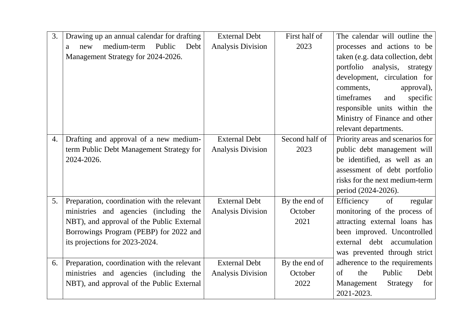| 3. | Drawing up an annual calendar for drafting  | <b>External Debt</b>     | First half of  | The calendar will outline the     |
|----|---------------------------------------------|--------------------------|----------------|-----------------------------------|
|    | medium-term<br>Public<br>Debt<br>new<br>a   | <b>Analysis Division</b> | 2023           | processes and actions to be       |
|    | Management Strategy for 2024-2026.          |                          |                | taken (e.g. data collection, debt |
|    |                                             |                          |                | portfolio<br>analysis, strategy   |
|    |                                             |                          |                | development, circulation for      |
|    |                                             |                          |                | comments,<br>approval),           |
|    |                                             |                          |                | timeframes<br>and<br>specific     |
|    |                                             |                          |                | responsible units within the      |
|    |                                             |                          |                | Ministry of Finance and other     |
|    |                                             |                          |                | relevant departments.             |
| 4. | Drafting and approval of a new medium-      | <b>External Debt</b>     | Second half of | Priority areas and scenarios for  |
|    | term Public Debt Management Strategy for    | <b>Analysis Division</b> | 2023           | public debt management will       |
|    | 2024-2026.                                  |                          |                | be identified, as well as an      |
|    |                                             |                          |                | assessment of debt portfolio      |
|    |                                             |                          |                | risks for the next medium-term    |
|    |                                             |                          |                | period (2024-2026).               |
| 5. | Preparation, coordination with the relevant | <b>External Debt</b>     | By the end of  | Efficiency<br>of<br>regular       |
|    | ministries and agencies (including the      | <b>Analysis Division</b> | October        | monitoring of the process of      |
|    | NBT), and approval of the Public External   |                          | 2021           | attracting external loans has     |
|    | Borrowings Program (PEBP) for 2022 and      |                          |                | been improved. Uncontrolled       |
|    | its projections for 2023-2024.              |                          |                | external debt accumulation        |
|    |                                             |                          |                | was prevented through strict      |
| 6. | Preparation, coordination with the relevant | <b>External Debt</b>     | By the end of  | adherence to the requirements     |
|    | ministries and agencies (including the      | <b>Analysis Division</b> | October        | Public<br>Debt<br>of<br>the       |
|    | NBT), and approval of the Public External   |                          | 2022           | Strategy<br>Management<br>for     |
|    |                                             |                          |                | 2021-2023.                        |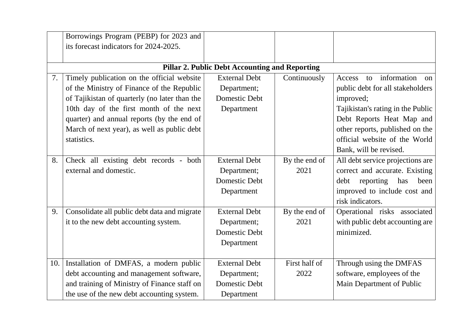|     | Borrowings Program (PEBP) for 2023 and        |                                                       |               |                                   |
|-----|-----------------------------------------------|-------------------------------------------------------|---------------|-----------------------------------|
|     | its forecast indicators for 2024-2025.        |                                                       |               |                                   |
|     |                                               |                                                       |               |                                   |
|     |                                               | <b>Pillar 2. Public Debt Accounting and Reporting</b> |               |                                   |
| 7.  | Timely publication on the official website    | <b>External Debt</b>                                  | Continuously  | to information<br>Access<br>on    |
|     | of the Ministry of Finance of the Republic    | Department;                                           |               | public debt for all stakeholders  |
|     | of Tajikistan of quarterly (no later than the | Domestic Debt                                         |               | improved;                         |
|     | 10th day of the first month of the next       | Department                                            |               | Tajikistan's rating in the Public |
|     | quarter) and annual reports (by the end of    |                                                       |               | Debt Reports Heat Map and         |
|     | March of next year), as well as public debt   |                                                       |               | other reports, published on the   |
|     | statistics.                                   |                                                       |               | official website of the World     |
|     |                                               |                                                       |               | Bank, will be revised.            |
| 8.  | Check all existing debt records - both        | <b>External Debt</b>                                  | By the end of | All debt service projections are  |
|     | external and domestic.                        | Department;                                           | 2021          | correct and accurate. Existing    |
|     |                                               | Domestic Debt                                         |               | reporting<br>has<br>debt<br>been  |
|     |                                               | Department                                            |               | improved to include cost and      |
|     |                                               |                                                       |               | risk indicators.                  |
| 9.  | Consolidate all public debt data and migrate  | <b>External Debt</b>                                  | By the end of | Operational risks associated      |
|     | it to the new debt accounting system.         | Department;                                           | 2021          | with public debt accounting are   |
|     |                                               | Domestic Debt                                         |               | minimized.                        |
|     |                                               | Department                                            |               |                                   |
|     |                                               |                                                       |               |                                   |
| 10. | Installation of DMFAS, a modern public        | <b>External Debt</b>                                  | First half of | Through using the DMFAS           |
|     | debt accounting and management software,      | Department;                                           | 2022          | software, employees of the        |
|     | and training of Ministry of Finance staff on  | Domestic Debt                                         |               | Main Department of Public         |
|     | the use of the new debt accounting system.    | Department                                            |               |                                   |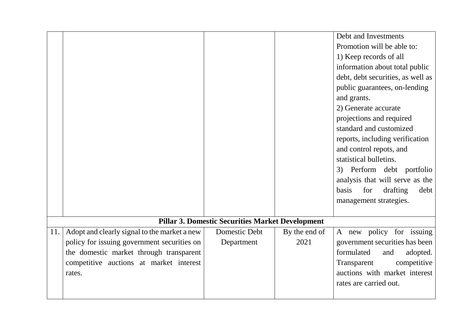|     |                                              |                                                         |               | Debt and Investments                    |
|-----|----------------------------------------------|---------------------------------------------------------|---------------|-----------------------------------------|
|     |                                              |                                                         |               | Promotion will be able to:              |
|     |                                              |                                                         |               | 1) Keep records of all                  |
|     |                                              |                                                         |               | information about total public          |
|     |                                              |                                                         |               | debt, debt securities, as well as       |
|     |                                              |                                                         |               | public guarantees, on-lending           |
|     |                                              |                                                         |               | and grants.                             |
|     |                                              |                                                         |               | 2) Generate accurate                    |
|     |                                              |                                                         |               | projections and required                |
|     |                                              |                                                         |               | standard and customized                 |
|     |                                              |                                                         |               | reports, including verification         |
|     |                                              |                                                         |               | and control repots, and                 |
|     |                                              |                                                         |               | statistical bulletins.                  |
|     |                                              |                                                         |               | 3) Perform debt portfolio               |
|     |                                              |                                                         |               | analysis that will serve as the         |
|     |                                              |                                                         |               | for<br>drafting<br><b>basis</b><br>debt |
|     |                                              |                                                         |               | management strategies.                  |
|     |                                              |                                                         |               |                                         |
|     |                                              | <b>Pillar 3. Domestic Securities Market Development</b> |               |                                         |
| 11. | Adopt and clearly signal to the market a new | Domestic Debt                                           | By the end of | A new policy for issuing                |
|     | policy for issuing government securities on  | Department                                              | 2021          | government securities has been          |
|     | the domestic market through transparent      |                                                         |               | formulated<br>and<br>adopted.           |
|     | competitive auctions at market interest      |                                                         |               | competitive<br>Transparent              |
|     | rates.                                       |                                                         |               | auctions with market interest           |
|     |                                              |                                                         |               | rates are carried out.                  |
|     |                                              |                                                         |               |                                         |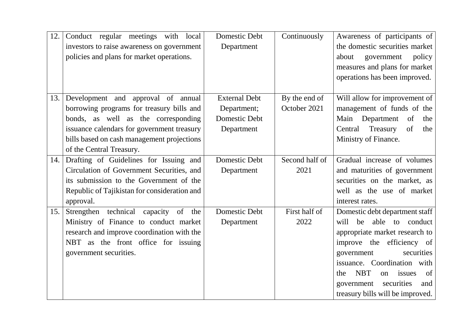| 12. | Conduct regular meetings with local<br>investors to raise awareness on government<br>policies and plans for market operations.                                                               | Domestic Debt<br>Department                                 | Continuously                  | Awareness of participants of<br>the domestic securities market<br>government<br>policy<br>about<br>measures and plans for market<br>operations has been improved.                                                                                                                                     |
|-----|----------------------------------------------------------------------------------------------------------------------------------------------------------------------------------------------|-------------------------------------------------------------|-------------------------------|-------------------------------------------------------------------------------------------------------------------------------------------------------------------------------------------------------------------------------------------------------------------------------------------------------|
| 13. | Development and approval of annual<br>borrowing programs for treasury bills and<br>bonds, as well as the corresponding                                                                       | <b>External Debt</b><br>Department;<br><b>Domestic Debt</b> | By the end of<br>October 2021 | Will allow for improvement of<br>management of funds of the<br>Main Department<br>of<br>the                                                                                                                                                                                                           |
|     | issuance calendars for government treasury                                                                                                                                                   | Department                                                  |                               | Central<br>Treasury<br>of<br>the                                                                                                                                                                                                                                                                      |
|     | bills based on cash management projections                                                                                                                                                   |                                                             |                               | Ministry of Finance.                                                                                                                                                                                                                                                                                  |
|     | of the Central Treasury.                                                                                                                                                                     |                                                             |                               |                                                                                                                                                                                                                                                                                                       |
| 14. | Drafting of Guidelines for Issuing and<br>Circulation of Government Securities, and<br>its submission to the Government of the<br>Republic of Tajikistan for consideration and<br>approval.  | Domestic Debt<br>Department                                 | Second half of<br>2021        | Gradual increase of volumes<br>and maturities of government<br>securities on the market, as<br>well as the use of market<br>interest rates.                                                                                                                                                           |
| 15. | Strengthen technical capacity of the<br>Ministry of Finance to conduct market<br>research and improve coordination with the<br>NBT as the front office for issuing<br>government securities. | Domestic Debt<br>Department                                 | First half of<br>2022         | Domestic debt department staff<br>will be able to conduct<br>appropriate market research to<br>improve the efficiency of<br>government<br>securities<br>issuance. Coordination with<br><b>NBT</b><br>issues<br>of<br>the<br>on<br>securities<br>government<br>and<br>treasury bills will be improved. |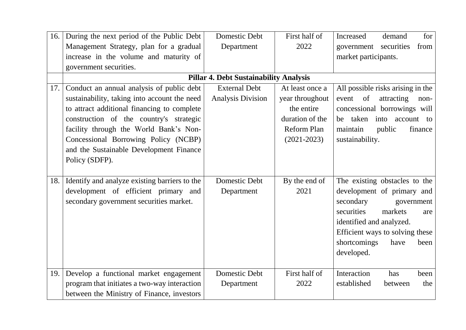| 16. | During the next period of the Public Debt     | Domestic Debt                                 | First half of   | Increased<br>demand<br>for        |
|-----|-----------------------------------------------|-----------------------------------------------|-----------------|-----------------------------------|
|     | Management Strategy, plan for a gradual       | Department                                    | 2022            | government securities<br>from     |
|     | increase in the volume and maturity of        |                                               |                 | market participants.              |
|     | government securities.                        |                                               |                 |                                   |
|     |                                               | <b>Pillar 4. Debt Sustainability Analysis</b> |                 |                                   |
| 17. | Conduct an annual analysis of public debt     | <b>External Debt</b>                          | At least once a | All possible risks arising in the |
|     | sustainability, taking into account the need  | <b>Analysis Division</b>                      | year throughout | of<br>attracting<br>event<br>non- |
|     | to attract additional financing to complete   |                                               | the entire      | concessional borrowings will      |
|     | construction of the country's strategic       |                                               | duration of the | taken<br>into account to<br>be    |
|     | facility through the World Bank's Non-        |                                               | Reform Plan     | public<br>maintain<br>finance     |
|     | Concessional Borrowing Policy (NCBP)          |                                               | $(2021 - 2023)$ | sustainability.                   |
|     | and the Sustainable Development Finance       |                                               |                 |                                   |
|     | Policy (SDFP).                                |                                               |                 |                                   |
|     |                                               |                                               |                 |                                   |
| 18. | Identify and analyze existing barriers to the | Domestic Debt                                 | By the end of   | The existing obstacles to the     |
|     | development of efficient primary and          | Department                                    | 2021            | development of primary and        |
|     | secondary government securities market.       |                                               |                 | secondary<br>government           |
|     |                                               |                                               |                 | securities<br>markets<br>are      |
|     |                                               |                                               |                 | identified and analyzed.          |
|     |                                               |                                               |                 | Efficient ways to solving these   |
|     |                                               |                                               |                 | shortcomings<br>have<br>been      |
|     |                                               |                                               |                 | developed.                        |
|     |                                               |                                               |                 |                                   |
| 19. | Develop a functional market engagement        | Domestic Debt                                 | First half of   | Interaction<br>has<br>been        |
|     | program that initiates a two-way interaction  | Department                                    | 2022            | established<br>the<br>between     |
|     | between the Ministry of Finance, investors    |                                               |                 |                                   |